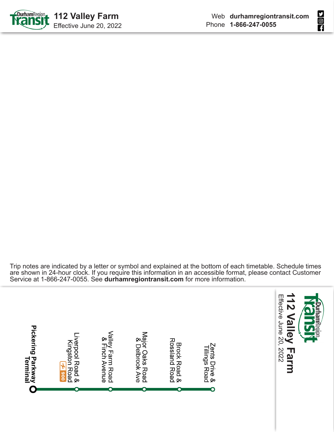



Trip notes are indicated by a letter or symbol and explained at the bottom of each timetable. Schedule times are shown in 24-hour clock. If you require this information in an accessible format, please contact Customer Service at 1-866-247-0055. See **durhamregiontransit.com** for more information.